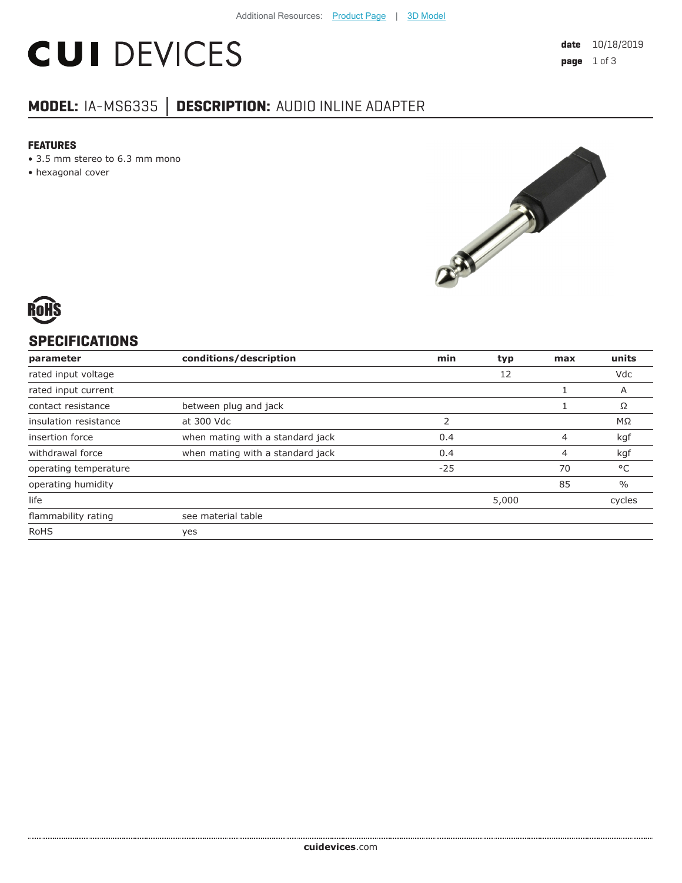# **CUI DEVICES**

## **MODEL:** IA-MS6335 **│ DESCRIPTION:** AUDIO INLINE ADAPTER

#### **FEATURES**

- 3.5 mm stereo to 6.3 mm mono
- hexagonal cover



## **SPECIFICATIONS**

| parameter             | conditions/description           | min   | typ   | max | units         |
|-----------------------|----------------------------------|-------|-------|-----|---------------|
| rated input voltage   |                                  |       | 12    |     | Vdc           |
| rated input current   |                                  |       |       |     | A             |
| contact resistance    | between plug and jack            |       |       |     | Ω             |
| insulation resistance | at 300 Vdc                       | 2     |       |     | $M\Omega$     |
| insertion force       | when mating with a standard jack | 0.4   |       | 4   | kgf           |
| withdrawal force      | when mating with a standard jack | 0.4   |       | 4   | kgf           |
| operating temperature |                                  | $-25$ |       | 70  | °C            |
| operating humidity    |                                  |       |       | 85  | $\frac{0}{0}$ |
| life                  |                                  |       | 5,000 |     | cycles        |
| flammability rating   | see material table               |       |       |     |               |
| <b>RoHS</b>           | yes                              |       |       |     |               |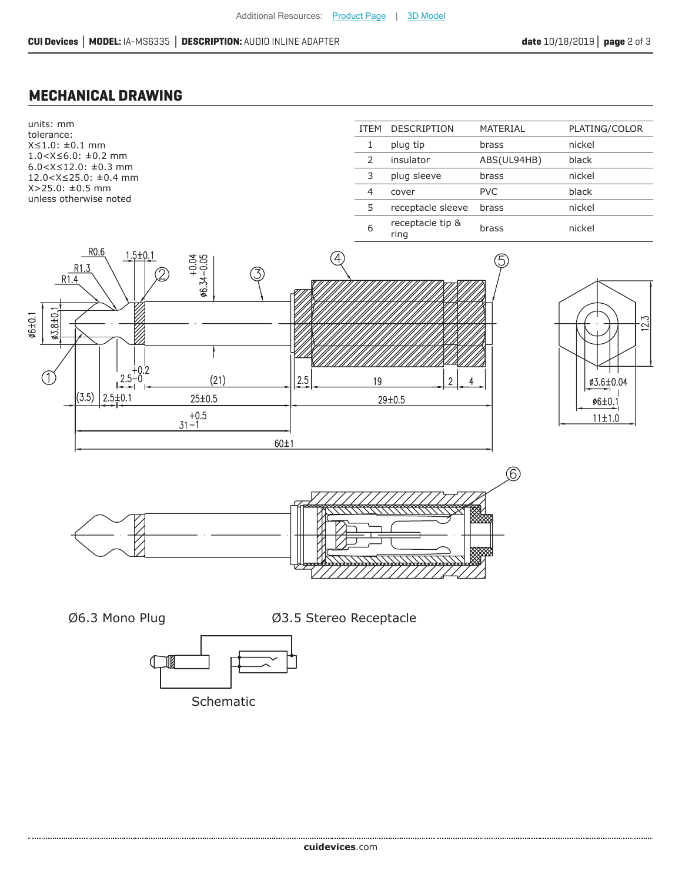#### **MECHANICAL DRAWING**